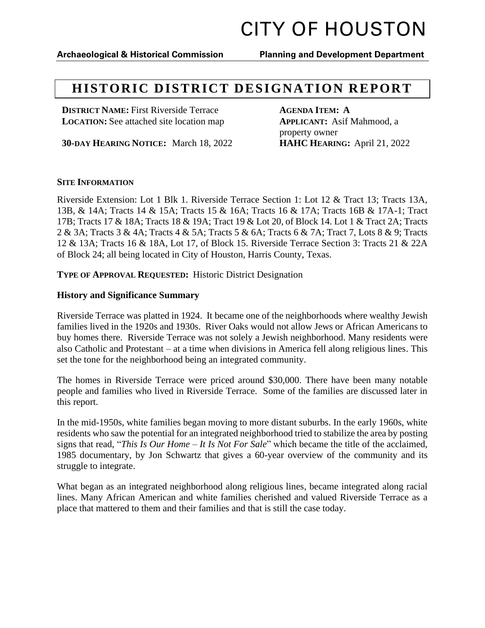## **Archaeological & Historical Commission Planning and Development Department**

## **HISTORIC DISTRICT DESIGNATION REPORT**

**DISTRICT NAME:** First Riverside Terrace **AGENDA ITEM: A LOCATION:** See attached site location map **APPLICANT:** Asif Mahmood, a

**30-DAY HEARING NOTICE:** March 18, 2022 **HAHC HEARING:** April 21, 2022

property owner

### **SITE INFORMATION**

Riverside Extension: Lot 1 Blk 1. Riverside Terrace Section 1: Lot 12 & Tract 13; Tracts 13A, 13B, & 14A; Tracts 14 & 15A; Tracts 15 & 16A; Tracts 16 & 17A; Tracts 16B & 17A-1; Tract 17B; Tracts 17 & 18A; Tracts 18 & 19A; Tract 19 & Lot 20, of Block 14. Lot 1 & Tract 2A; Tracts 2 & 3A; Tracts 3 & 4A; Tracts 4 & 5A; Tracts 5 & 6A; Tracts 6 & 7A; Tract 7, Lots 8 & 9; Tracts 12 & 13A; Tracts 16 & 18A, Lot 17, of Block 15. Riverside Terrace Section 3: Tracts 21 & 22A of Block 24; all being located in City of Houston, Harris County, Texas.

**TYPE OF APPROVAL REQUESTED:** Historic District Designation

### **History and Significance Summary**

Riverside Terrace was platted in 1924. It became one of the neighborhoods where wealthy Jewish families lived in the 1920s and 1930s. River Oaks would not allow Jews or African Americans to buy homes there. Riverside Terrace was not solely a Jewish neighborhood. Many residents were also Catholic and Protestant – at a time when divisions in America fell along religious lines. This set the tone for the neighborhood being an integrated community.

The homes in Riverside Terrace were priced around \$30,000. There have been many notable people and families who lived in Riverside Terrace. Some of the families are discussed later in this report.

In the mid-1950s, white families began moving to more distant suburbs. In the early 1960s, white residents who saw the potential for an integrated neighborhood tried to stabilize the area by posting signs that read, "*This Is Our Home – It Is Not For Sale*" which became the title of the acclaimed, 1985 documentary, by Jon Schwartz that gives a 60-year overview of the community and its struggle to integrate.

What began as an integrated neighborhood along religious lines, became integrated along racial lines. Many African American and white families cherished and valued Riverside Terrace as a place that mattered to them and their families and that is still the case today.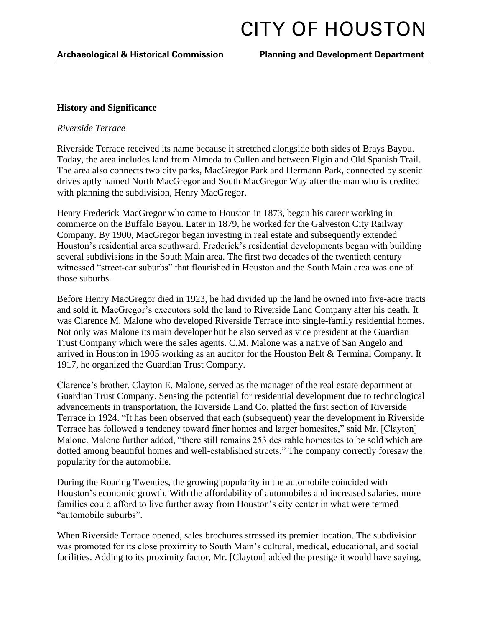## **History and Significance**

## *Riverside Terrace*

Riverside Terrace received its name because it stretched alongside both sides of Brays Bayou. Today, the area includes land from Almeda to Cullen and between Elgin and Old Spanish Trail. The area also connects two city parks, MacGregor Park and Hermann Park, connected by scenic drives aptly named North MacGregor and South MacGregor Way after the man who is credited with planning the subdivision, Henry MacGregor.

Henry Frederick MacGregor who came to Houston in 1873, began his career working in commerce on the Buffalo Bayou. Later in 1879, he worked for the Galveston City Railway Company. By 1900, MacGregor began investing in real estate and subsequently extended Houston's residential area southward. Frederick's residential developments began with building several subdivisions in the South Main area. The first two decades of the twentieth century witnessed "street-car suburbs" that flourished in Houston and the South Main area was one of those suburbs.

Before Henry MacGregor died in 1923, he had divided up the land he owned into five-acre tracts and sold it. MacGregor's executors sold the land to Riverside Land Company after his death. It was Clarence M. Malone who developed Riverside Terrace into single-family residential homes. Not only was Malone its main developer but he also served as vice president at the Guardian Trust Company which were the sales agents. C.M. Malone was a native of San Angelo and arrived in Houston in 1905 working as an auditor for the Houston Belt & Terminal Company. It 1917, he organized the Guardian Trust Company.

Clarence's brother, Clayton E. Malone, served as the manager of the real estate department at Guardian Trust Company. Sensing the potential for residential development due to technological advancements in transportation, the Riverside Land Co. platted the first section of Riverside Terrace in 1924. "It has been observed that each (subsequent) year the development in Riverside Terrace has followed a tendency toward finer homes and larger homesites," said Mr. [Clayton] Malone. Malone further added, "there still remains 253 desirable homesites to be sold which are dotted among beautiful homes and well-established streets." The company correctly foresaw the popularity for the automobile.

During the Roaring Twenties, the growing popularity in the automobile coincided with Houston's economic growth. With the affordability of automobiles and increased salaries, more families could afford to live further away from Houston's city center in what were termed "automobile suburbs".

When Riverside Terrace opened, sales brochures stressed its premier location. The subdivision was promoted for its close proximity to South Main's cultural, medical, educational, and social facilities. Adding to its proximity factor, Mr. [Clayton] added the prestige it would have saying,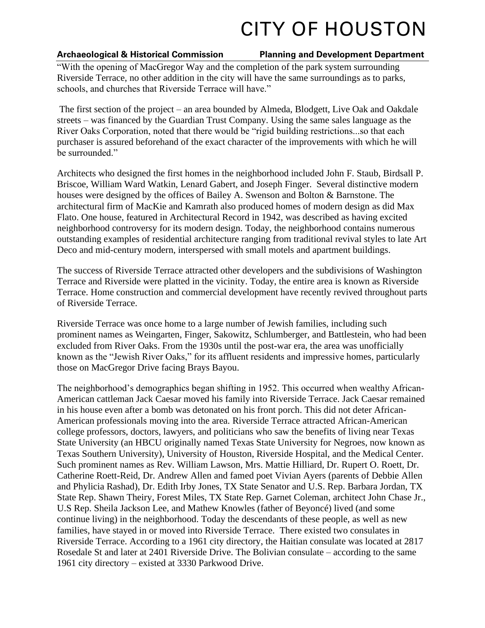## **Archaeological & Historical Commission Planning and Development Department**

"With the opening of MacGregor Way and the completion of the park system surrounding Riverside Terrace, no other addition in the city will have the same surroundings as to parks, schools, and churches that Riverside Terrace will have."

The first section of the project – an area bounded by Almeda, Blodgett, Live Oak and Oakdale streets – was financed by the Guardian Trust Company. Using the same sales language as the River Oaks Corporation, noted that there would be "rigid building restrictions...so that each purchaser is assured beforehand of the exact character of the improvements with which he will be surrounded."

Architects who designed the first homes in the neighborhood included John F. Staub, Birdsall P. Briscoe, William Ward Watkin, Lenard Gabert, and Joseph Finger. Several distinctive modern houses were designed by the offices of Bailey A. Swenson and Bolton & Barnstone. The architectural firm of MacKie and Kamrath also produced homes of modern design as did Max Flato. One house, featured in Architectural Record in 1942, was described as having excited neighborhood controversy for its modern design. Today, the neighborhood contains numerous outstanding examples of residential architecture ranging from traditional revival styles to late Art Deco and mid-century modern, interspersed with small motels and apartment buildings.

The success of Riverside Terrace attracted other developers and the subdivisions of Washington Terrace and Riverside were platted in the vicinity. Today, the entire area is known as Riverside Terrace. Home construction and commercial development have recently revived throughout parts of Riverside Terrace.

Riverside Terrace was once home to a large number of Jewish families, including such prominent names as Weingarten, Finger, Sakowitz, Schlumberger, and Battlestein, who had been excluded from River Oaks. From the 1930s until the post-war era, the area was unofficially known as the "Jewish River Oaks," for its affluent residents and impressive homes, particularly those on MacGregor Drive facing Brays Bayou.

The neighborhood's demographics began shifting in 1952. This occurred when wealthy African-American cattleman Jack Caesar moved his family into Riverside Terrace. Jack Caesar remained in his house even after a bomb was detonated on his front porch. This did not deter African-American professionals moving into the area. Riverside Terrace attracted African-American college professors, doctors, lawyers, and politicians who saw the benefits of living near Texas State University (an HBCU originally named Texas State University for Negroes, now known as Texas Southern University), University of Houston, Riverside Hospital, and the Medical Center. Such prominent names as Rev. William Lawson, Mrs. Mattie Hilliard, Dr. Rupert O. Roett, Dr. Catherine Roett-Reid, Dr. Andrew Allen and famed poet Vivian Ayers (parents of Debbie Allen and Phylicia Rashad), Dr. Edith Irby Jones, TX State Senator and U.S. Rep. Barbara Jordan, TX State Rep. Shawn Theiry, Forest Miles, TX State Rep. Garnet Coleman, architect John Chase Jr., U.S Rep. Sheila Jackson Lee, and Mathew Knowles (father of Beyoncé) lived (and some continue living) in the neighborhood. Today the descendants of these people, as well as new families, have stayed in or moved into Riverside Terrace. There existed two consulates in Riverside Terrace. According to a 1961 city directory, the Haitian consulate was located at 2817 Rosedale St and later at 2401 Riverside Drive. The Bolivian consulate – according to the same 1961 city directory – existed at 3330 Parkwood Drive.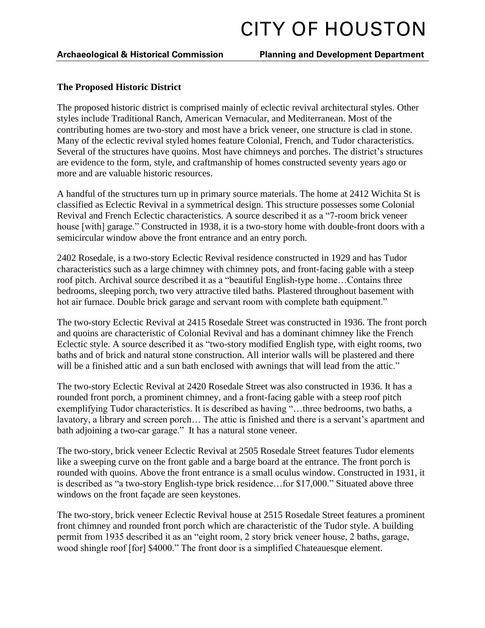### **Archaeological & Historical Commission Planning and Development Department**

### **The Proposed Historic District**

The proposed historic district is comprised mainly of eclectic revival architectural styles. Other styles include Traditional Ranch, American Vernacular, and Mediterranean. Most of the contributing homes are two-story and most have a brick veneer, one structure is clad in stone. Many of the eclectic revival styled homes feature Colonial, French, and Tudor characteristics. Several of the structures have quoins. Most have chimneys and porches. The district's structures are evidence to the form, style, and craftmanship of homes constructed seventy years ago or more and are valuable historic resources.

A handful of the structures turn up in primary source materials. The home at 2412 Wichita St is classified as Eclectic Revival in a symmetrical design. This structure possesses some Colonial Revival and French Eclectic characteristics. A source described it as a "7-room brick veneer house [with] garage." Constructed in 1938, it is a two-story home with double-front doors with a semicircular window above the front entrance and an entry porch.

2402 Rosedale, is a two-story Eclectic Revival residence constructed in 1929 and has Tudor characteristics such as a large chimney with chimney pots, and front-facing gable with a steep roof pitch. Archival source described it as a "beautiful English-type home…Contains three bedrooms, sleeping porch, two very attractive tiled baths. Plastered throughout basement with hot air furnace. Double brick garage and servant room with complete bath equipment."

The two-story Eclectic Revival at 2415 Rosedale Street was constructed in 1936. The front porch and quoins are characteristic of Colonial Revival and has a dominant chimney like the French Eclectic style. A source described it as "two-story modified English type, with eight rooms, two baths and of brick and natural stone construction. All interior walls will be plastered and there will be a finished attic and a sun bath enclosed with awnings that will lead from the attic."

The two-story Eclectic Revival at 2420 Rosedale Street was also constructed in 1936. It has a rounded front porch, a prominent chimney, and a front-facing gable with a steep roof pitch exemplifying Tudor characteristics. It is described as having "…three bedrooms, two baths, a lavatory, a library and screen porch… The attic is finished and there is a servant's apartment and bath adjoining a two-car garage." It has a natural stone veneer.

The two-story, brick veneer Eclectic Revival at 2505 Rosedale Street features Tudor elements like a sweeping curve on the front gable and a barge board at the entrance. The front porch is rounded with quoins. Above the front entrance is a small oculus window. Constructed in 1931, it is described as "a two-story English-type brick residence…for \$17,000." Situated above three windows on the front façade are seen keystones.

The two-story, brick veneer Eclectic Revival house at 2515 Rosedale Street features a prominent front chimney and rounded front porch which are characteristic of the Tudor style. A building permit from 1935 described it as an "eight room, 2 story brick veneer house, 2 baths, garage, wood shingle roof [for] \$4000." The front door is a simplified Chateauesque element.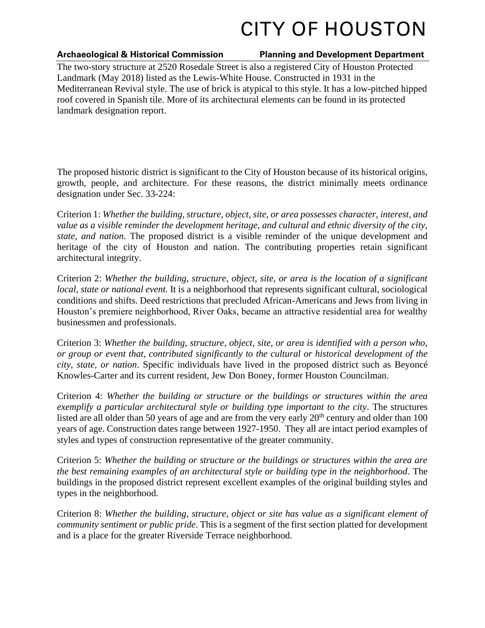### **Archaeological & Historical Commission Planning and Development Department**

The two-story structure at 2520 Rosedale Street is also a registered City of Houston Protected Landmark (May 2018) listed as the Lewis-White House. Constructed in 1931 in the Mediterranean Revival style. The use of brick is atypical to this style. It has a low-pitched hipped roof covered in Spanish tile. More of its architectural elements can be found in its protected landmark designation report.

The proposed historic district is significant to the City of Houston because of its historical origins, growth, people, and architecture. For these reasons, the district minimally meets ordinance designation under Sec. 33-224:

Criterion 1: *Whether the building, structure, object, site, or area possesses character, interest, and value as a visible reminder the development heritage, and cultural and ethnic diversity of the city, state, and nation*. The proposed district is a visible reminder of the unique development and heritage of the city of Houston and nation. The contributing properties retain significant architectural integrity.

Criterion 2: *Whether the building, structure, object, site, or area is the location of a significant local, state or national event.* It is a neighborhood that represents significant cultural, sociological conditions and shifts. Deed restrictions that precluded African-Americans and Jews from living in Houston's premiere neighborhood, River Oaks, became an attractive residential area for wealthy businessmen and professionals.

Criterion 3: *Whether the building, structure, object, site, or area is identified with a person who, or group or event that, contributed significantly to the cultural or historical development of the city, state, or nation*. Specific individuals have lived in the proposed district such as Beyoncé Knowles-Carter and its current resident, Jew Don Boney, former Houston Councilman.

Criterion 4: *Whether the building or structure or the buildings or structures within the area exemplify a particular architectural style or building type important to the city*. The structures listed are all older than 50 years of age and are from the very early  $20<sup>th</sup>$  century and older than 100 years of age. Construction dates range between 1927-1950. They all are intact period examples of styles and types of construction representative of the greater community.

Criterion 5: *Whether the building or structure or the buildings or structures within the area are the best remaining examples of an architectural style or building type in the neighborhood*. The buildings in the proposed district represent excellent examples of the original building styles and types in the neighborhood.

Criterion 8: *Whether the building, structure, object or site has value as a significant element of community sentiment or public pride*. This is a segment of the first section platted for development and is a place for the greater Riverside Terrace neighborhood.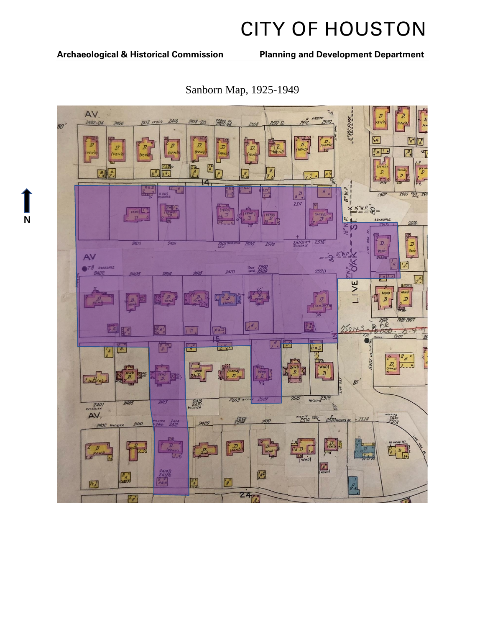**N**

**Archaeological & Historical Commission Planning and Development Department**



Sanborn Map, 1925-1949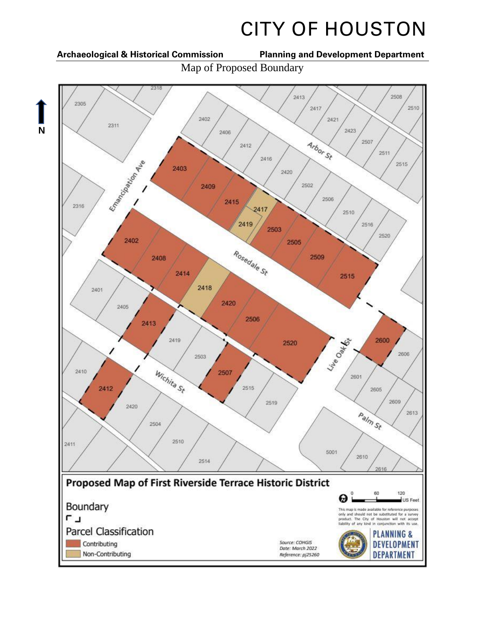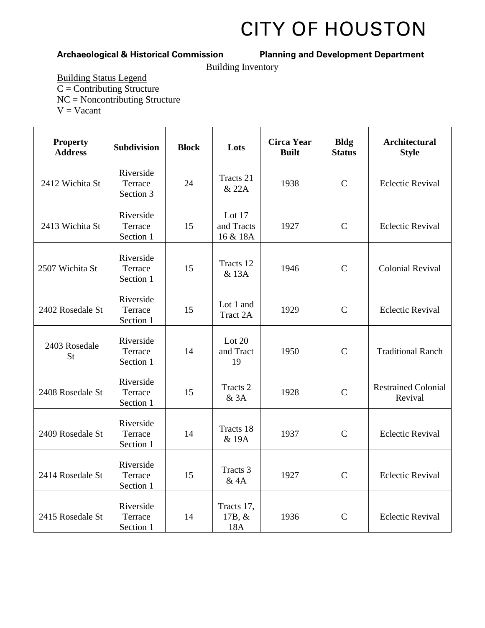## **Archaeological & Historical Commission Planning and Development Department**

Building Inventory

Building Status Legend  $\overline{C}$  = Contributing Structure NC = Noncontributing Structure  $V = Vacant$ 

| <b>Property</b><br><b>Address</b> | Subdivision                       | <b>Block</b> | Lots                             | <b>Circa Year</b><br><b>Built</b> | <b>Bldg</b><br><b>Status</b> | <b>Architectural</b><br><b>Style</b>  |
|-----------------------------------|-----------------------------------|--------------|----------------------------------|-----------------------------------|------------------------------|---------------------------------------|
| 2412 Wichita St                   | Riverside<br>Terrace<br>Section 3 | 24           | Tracts 21<br>& 22A               | 1938                              | $\mathsf{C}$                 | <b>Eclectic Revival</b>               |
| 2413 Wichita St                   | Riverside<br>Terrace<br>Section 1 | 15           | Lot 17<br>and Tracts<br>16 & 18A | 1927                              | $\mathcal{C}$                | <b>Eclectic Revival</b>               |
| 2507 Wichita St                   | Riverside<br>Terrace<br>Section 1 | 15           | Tracts 12<br>& 13A               | 1946                              | $\mathbf C$                  | <b>Colonial Revival</b>               |
| 2402 Rosedale St                  | Riverside<br>Terrace<br>Section 1 | 15           | Lot 1 and<br>Tract 2A            | 1929                              | $\mathsf{C}$                 | <b>Eclectic Revival</b>               |
| 2403 Rosedale<br><b>St</b>        | Riverside<br>Terrace<br>Section 1 | 14           | Lot $20$<br>and Tract<br>19      | 1950                              | $\mathsf{C}$                 | <b>Traditional Ranch</b>              |
| 2408 Rosedale St                  | Riverside<br>Terrace<br>Section 1 | 15           | Tracts <sub>2</sub><br>&3A       | 1928                              | $\mathbf C$                  | <b>Restrained Colonial</b><br>Revival |
| 2409 Rosedale St                  | Riverside<br>Terrace<br>Section 1 | 14           | Tracts 18<br>& 19A               | 1937                              | $\mathcal{C}$                | <b>Eclectic Revival</b>               |
| 2414 Rosedale St                  | Riverside<br>Terrace<br>Section 1 | 15           | Tracts 3<br>& 4A                 | 1927                              | $\mathsf{C}$                 | <b>Eclectic Revival</b>               |
| 2415 Rosedale St                  | Riverside<br>Terrace<br>Section 1 | 14           | Tracts 17,<br>17B, &<br>18A      | 1936                              | $\mathsf{C}$                 | <b>Eclectic Revival</b>               |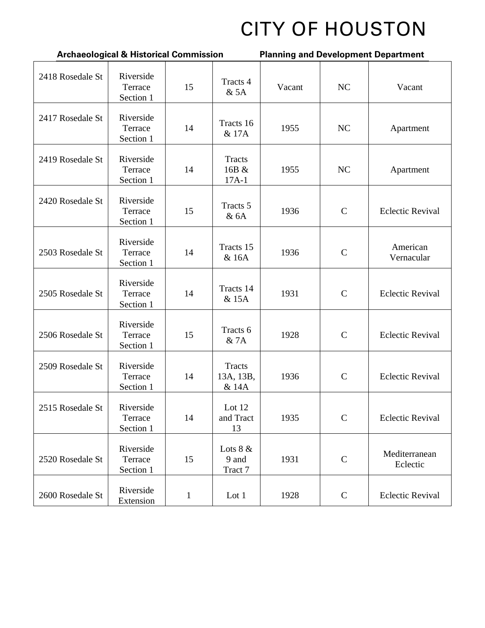| <b>Archaeological &amp; Historical Commission</b> |                                   |              |                                | <b>Planning and Development Department</b> |              |                           |  |
|---------------------------------------------------|-----------------------------------|--------------|--------------------------------|--------------------------------------------|--------------|---------------------------|--|
| 2418 Rosedale St                                  | Riverside<br>Terrace<br>Section 1 | 15           | Tracts 4<br>&5A                | Vacant                                     | NC           | Vacant                    |  |
| 2417 Rosedale St                                  | Riverside<br>Terrace<br>Section 1 | 14           | Tracts 16<br>& 17A             | 1955                                       | <b>NC</b>    | Apartment                 |  |
| 2419 Rosedale St                                  | Riverside<br>Terrace<br>Section 1 | 14           | Tracts<br>16B &<br>$17A-1$     | 1955                                       | NC           | Apartment                 |  |
| 2420 Rosedale St                                  | Riverside<br>Terrace<br>Section 1 | 15           | Tracts 5<br>&6A                | 1936                                       | $\mathbf C$  | <b>Eclectic Revival</b>   |  |
| 2503 Rosedale St                                  | Riverside<br>Terrace<br>Section 1 | 14           | Tracts 15<br>& 16A             | 1936                                       | $\mathsf{C}$ | American<br>Vernacular    |  |
| 2505 Rosedale St                                  | Riverside<br>Terrace<br>Section 1 | 14           | Tracts 14<br>& 15A             | 1931                                       | $\mathbf C$  | <b>Eclectic Revival</b>   |  |
| 2506 Rosedale St                                  | Riverside<br>Terrace<br>Section 1 | 15           | Tracts 6<br>& 7A               | 1928                                       | $\mathsf{C}$ | <b>Eclectic Revival</b>   |  |
| 2509 Rosedale St                                  | Riverside<br>Terrace<br>Section 1 | 14           | Tracts<br>13A, 13B,<br>& 14A   | 1936                                       | $\mathbf C$  | <b>Eclectic Revival</b>   |  |
| 2515 Rosedale St                                  | Riverside<br>Terrace<br>Section 1 | 14           | Lot 12<br>and Tract<br>13      | 1935                                       | $\mathbf C$  | <b>Eclectic Revival</b>   |  |
| 2520 Rosedale St                                  | Riverside<br>Terrace<br>Section 1 | 15           | Lots $8 &$<br>9 and<br>Tract 7 | 1931                                       | $\mathbf C$  | Mediterranean<br>Eclectic |  |
| 2600 Rosedale St                                  | Riverside<br>Extension            | $\mathbf{1}$ | Lot 1                          | 1928                                       | $\mathbf C$  | <b>Eclectic Revival</b>   |  |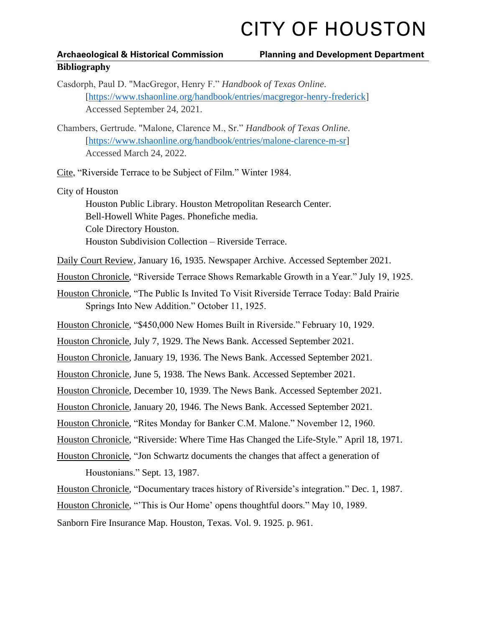## **Archaeological & Historical Commission Planning and Development Department Bibliography**

- Casdorph, Paul D. "MacGregor, Henry F." *Handbook of Texas Online*. [\[https://www.tshaonline.org/handbook/entries/macgregor-henry-frederick\]](https://www.tshaonline.org/handbook/entries/macgregor-henry-frederick) Accessed September 24, 2021.
- Chambers, Gertrude. "Malone, Clarence M., Sr." *Handbook of Texas Online*. [\[https://www.tshaonline.org/handbook/entries/malone-clarence-m-sr\]](https://www.tshaonline.org/handbook/entries/malone-clarence-m-sr) Accessed March 24, 2022.

Cite, "Riverside Terrace to be Subject of Film." Winter 1984.

City of Houston

Houston Public Library. Houston Metropolitan Research Center. Bell-Howell White Pages. Phonefiche media. Cole Directory Houston. Houston Subdivision Collection – Riverside Terrace.

Daily Court Review, January 16, 1935. Newspaper Archive. Accessed September 2021.

Houston Chronicle, "Riverside Terrace Shows Remarkable Growth in a Year." July 19, 1925.

Houston Chronicle, "The Public Is Invited To Visit Riverside Terrace Today: Bald Prairie Springs Into New Addition." October 11, 1925.

Houston Chronicle, "\$450,000 New Homes Built in Riverside." February 10, 1929.

Houston Chronicle, July 7, 1929. The News Bank. Accessed September 2021.

Houston Chronicle, January 19, 1936. The News Bank. Accessed September 2021.

Houston Chronicle, June 5, 1938. The News Bank. Accessed September 2021.

Houston Chronicle, December 10, 1939. The News Bank. Accessed September 2021.

Houston Chronicle, January 20, 1946. The News Bank. Accessed September 2021.

Houston Chronicle, "Rites Monday for Banker C.M. Malone." November 12, 1960.

Houston Chronicle, "Riverside: Where Time Has Changed the Life-Style." April 18, 1971.

Houston Chronicle, "Jon Schwartz documents the changes that affect a generation of Houstonians." Sept. 13, 1987.

Houston Chronicle, "Documentary traces history of Riverside's integration." Dec. 1, 1987.

Houston Chronicle, "'This is Our Home' opens thoughtful doors." May 10, 1989.

Sanborn Fire Insurance Map. Houston, Texas. Vol. 9. 1925. p. 961.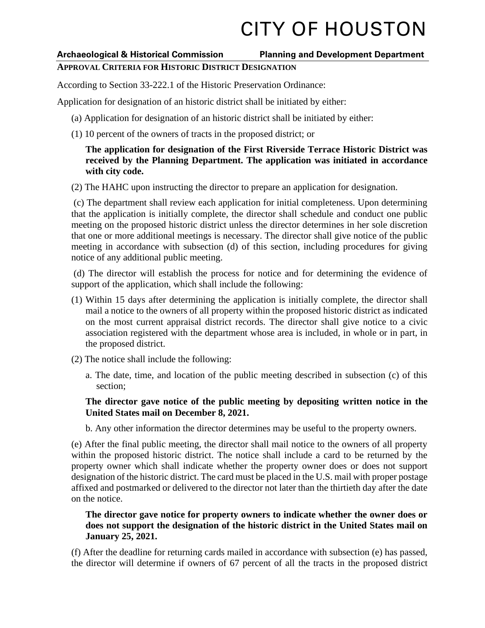## **Archaeological & Historical Commission Planning and Development Department**

## **APPROVAL CRITERIA FOR HISTORIC DISTRICT DESIGNATION**

According to Section 33-222.1 of the Historic Preservation Ordinance:

Application for designation of an historic district shall be initiated by either:

- (a) Application for designation of an historic district shall be initiated by either:
- (1) 10 percent of the owners of tracts in the proposed district; or

## **The application for designation of the First Riverside Terrace Historic District was received by the Planning Department. The application was initiated in accordance with city code.**

(2) The HAHC upon instructing the director to prepare an application for designation.

(c) The department shall review each application for initial completeness. Upon determining that the application is initially complete, the director shall schedule and conduct one public meeting on the proposed historic district unless the director determines in her sole discretion that one or more additional meetings is necessary. The director shall give notice of the public meeting in accordance with subsection (d) of this section, including procedures for giving notice of any additional public meeting.

(d) The director will establish the process for notice and for determining the evidence of support of the application, which shall include the following:

- (1) Within 15 days after determining the application is initially complete, the director shall mail a notice to the owners of all property within the proposed historic district as indicated on the most current appraisal district records. The director shall give notice to a civic association registered with the department whose area is included, in whole or in part, in the proposed district.
- (2) The notice shall include the following:
	- a. The date, time, and location of the public meeting described in subsection (c) of this section;

## **The director gave notice of the public meeting by depositing written notice in the United States mail on December 8, 2021.**

b. Any other information the director determines may be useful to the property owners.

(e) After the final public meeting, the director shall mail notice to the owners of all property within the proposed historic district. The notice shall include a card to be returned by the property owner which shall indicate whether the property owner does or does not support designation of the historic district. The card must be placed in the U.S. mail with proper postage affixed and postmarked or delivered to the director not later than the thirtieth day after the date on the notice.

## **The director gave notice for property owners to indicate whether the owner does or does not support the designation of the historic district in the United States mail on January 25, 2021.**

(f) After the deadline for returning cards mailed in accordance with subsection (e) has passed, the director will determine if owners of 67 percent of all the tracts in the proposed district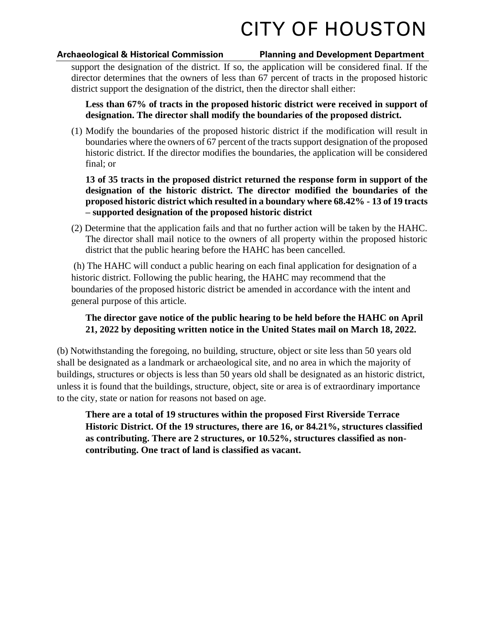### **Archaeological & Historical Commission Planning and Development Department**

support the designation of the district. If so, the application will be considered final. If the director determines that the owners of less than 67 percent of tracts in the proposed historic district support the designation of the district, then the director shall either:

**Less than 67% of tracts in the proposed historic district were received in support of designation. The director shall modify the boundaries of the proposed district.**

(1) Modify the boundaries of the proposed historic district if the modification will result in boundaries where the owners of 67 percent of the tracts support designation of the proposed historic district. If the director modifies the boundaries, the application will be considered final; or

**13 of 35 tracts in the proposed district returned the response form in support of the designation of the historic district. The director modified the boundaries of the proposed historic district which resulted in a boundary where 68.42% - 13 of 19 tracts – supported designation of the proposed historic district** 

(2) Determine that the application fails and that no further action will be taken by the HAHC. The director shall mail notice to the owners of all property within the proposed historic district that the public hearing before the HAHC has been cancelled.

(h) The HAHC will conduct a public hearing on each final application for designation of a historic district. Following the public hearing, the HAHC may recommend that the boundaries of the proposed historic district be amended in accordance with the intent and general purpose of this article.

## **The director gave notice of the public hearing to be held before the HAHC on April 21, 2022 by depositing written notice in the United States mail on March 18, 2022.**

(b) Notwithstanding the foregoing, no building, structure, object or site less than 50 years old shall be designated as a landmark or archaeological site, and no area in which the majority of buildings, structures or objects is less than 50 years old shall be designated as an historic district, unless it is found that the buildings, structure, object, site or area is of extraordinary importance to the city, state or nation for reasons not based on age.

**There are a total of 19 structures within the proposed First Riverside Terrace Historic District. Of the 19 structures, there are 16, or 84.21%, structures classified as contributing. There are 2 structures, or 10.52%, structures classified as noncontributing. One tract of land is classified as vacant.**